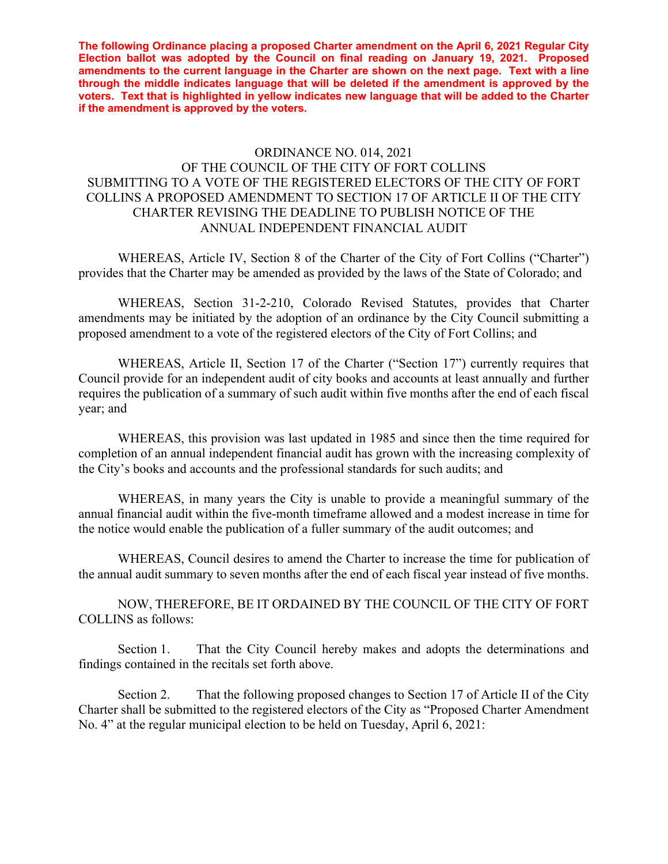**The following Ordinance placing a proposed Charter amendment on the April 6, 2021 Regular City Election ballot was adopted by the Council on final reading on January 19, 2021. Proposed amendments to the current language in the Charter are shown on the next page. Text with a line through the middle indicates language that will be deleted if the amendment is approved by the voters. Text that is highlighted in yellow indicates new language that will be added to the Charter if the amendment is approved by the voters.** 

## ORDINANCE NO. 014, 2021 OF THE COUNCIL OF THE CITY OF FORT COLLINS SUBMITTING TO A VOTE OF THE REGISTERED ELECTORS OF THE CITY OF FORT COLLINS A PROPOSED AMENDMENT TO SECTION 17 OF ARTICLE II OF THE CITY CHARTER REVISING THE DEADLINE TO PUBLISH NOTICE OF THE ANNUAL INDEPENDENT FINANCIAL AUDIT

 WHEREAS, Article IV, Section 8 of the Charter of the City of Fort Collins ("Charter") provides that the Charter may be amended as provided by the laws of the State of Colorado; and

 WHEREAS, Section 31-2-210, Colorado Revised Statutes, provides that Charter amendments may be initiated by the adoption of an ordinance by the City Council submitting a proposed amendment to a vote of the registered electors of the City of Fort Collins; and

 WHEREAS, Article II, Section 17 of the Charter ("Section 17") currently requires that Council provide for an independent audit of city books and accounts at least annually and further requires the publication of a summary of such audit within five months after the end of each fiscal year; and

 WHEREAS, this provision was last updated in 1985 and since then the time required for completion of an annual independent financial audit has grown with the increasing complexity of the City's books and accounts and the professional standards for such audits; and

 WHEREAS, in many years the City is unable to provide a meaningful summary of the annual financial audit within the five-month timeframe allowed and a modest increase in time for the notice would enable the publication of a fuller summary of the audit outcomes; and

WHEREAS, Council desires to amend the Charter to increase the time for publication of the annual audit summary to seven months after the end of each fiscal year instead of five months.

 NOW, THEREFORE, BE IT ORDAINED BY THE COUNCIL OF THE CITY OF FORT COLLINS as follows:

 Section 1. That the City Council hereby makes and adopts the determinations and findings contained in the recitals set forth above.

Section 2. That the following proposed changes to Section 17 of Article II of the City Charter shall be submitted to the registered electors of the City as "Proposed Charter Amendment No. 4" at the regular municipal election to be held on Tuesday, April 6, 2021: